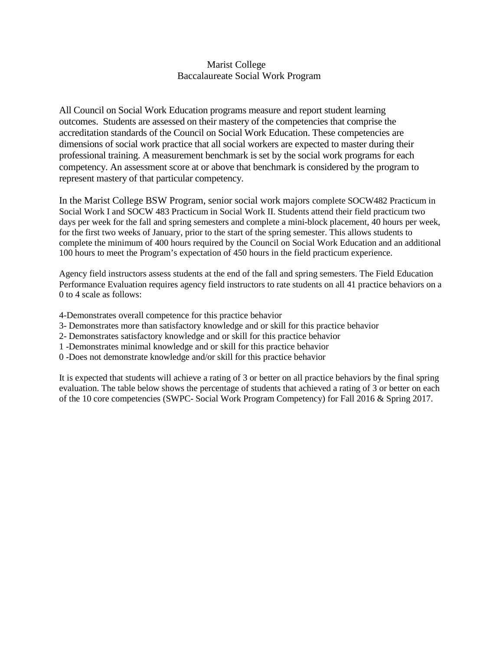## Marist College Baccalaureate Social Work Program

All Council on Social Work Education programs measure and report student learning outcomes. Students are assessed on their mastery of the competencies that comprise the accreditation standards of the Council on Social Work Education. These competencies are dimensions of social work practice that all social workers are expected to master during their professional training. A measurement benchmark is set by the social work programs for each competency. An assessment score at or above that benchmark is considered by the program to represent mastery of that particular competency.

In the Marist College BSW Program, senior social work majors complete SOCW482 Practicum in Social Work I and SOCW 483 Practicum in Social Work II. Students attend their field practicum two days per week for the fall and spring semesters and complete a mini-block placement, 40 hours per week, for the first two weeks of January, prior to the start of the spring semester. This allows students to complete the minimum of 400 hours required by the Council on Social Work Education and an additional 100 hours to meet the Program's expectation of 450 hours in the field practicum experience.

Agency field instructors assess students at the end of the fall and spring semesters. The Field Education Performance Evaluation requires agency field instructors to rate students on all 41 practice behaviors on a 0 to 4 scale as follows:

- 4-Demonstrates overall competence for this practice behavior
- 3- Demonstrates more than satisfactory knowledge and or skill for this practice behavior
- 2- Demonstrates satisfactory knowledge and or skill for this practice behavior
- 1 -Demonstrates minimal knowledge and or skill for this practice behavior
- 0 -Does not demonstrate knowledge and/or skill for this practice behavior

It is expected that students will achieve a rating of 3 or better on all practice behaviors by the final spring evaluation. The table below shows the percentage of students that achieved a rating of 3 or better on each of the 10 core competencies (SWPC- Social Work Program Competency) for Fall 2016 & Spring 2017.